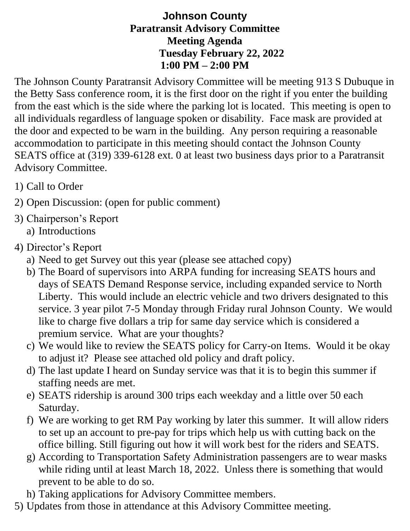## **Johnson County Paratransit Advisory Committee Meeting Agenda Tuesday February 22, 2022 1:00 PM – 2:00 PM**

The Johnson County Paratransit Advisory Committee will be meeting 913 S Dubuque in the Betty Sass conference room, it is the first door on the right if you enter the building from the east which is the side where the parking lot is located. This meeting is open to all individuals regardless of language spoken or disability. Face mask are provided at the door and expected to be warn in the building. Any person requiring a reasonable accommodation to participate in this meeting should contact the Johnson County SEATS office at (319) 339-6128 ext. 0 at least two business days prior to a Paratransit Advisory Committee.

- 1) Call to Order
- 2) Open Discussion: (open for public comment)
- 3) Chairperson's Report
	- a) Introductions
- 4) Director's Report
	- a) Need to get Survey out this year (please see attached copy)
	- b) The Board of supervisors into ARPA funding for increasing SEATS hours and days of SEATS Demand Response service, including expanded service to North Liberty. This would include an electric vehicle and two drivers designated to this service. 3 year pilot 7-5 Monday through Friday rural Johnson County. We would like to charge five dollars a trip for same day service which is considered a premium service. What are your thoughts?
	- c) We would like to review the SEATS policy for Carry-on Items. Would it be okay to adjust it? Please see attached old policy and draft policy.
	- d) The last update I heard on Sunday service was that it is to begin this summer if staffing needs are met.
	- e) SEATS ridership is around 300 trips each weekday and a little over 50 each Saturday.
	- f) We are working to get RM Pay working by later this summer. It will allow riders to set up an account to pre-pay for trips which help us with cutting back on the office billing. Still figuring out how it will work best for the riders and SEATS.
	- g) According to Transportation Safety Administration passengers are to wear masks while riding until at least March 18, 2022. Unless there is something that would prevent to be able to do so.
	- h) Taking applications for Advisory Committee members.
- 5) Updates from those in attendance at this Advisory Committee meeting.